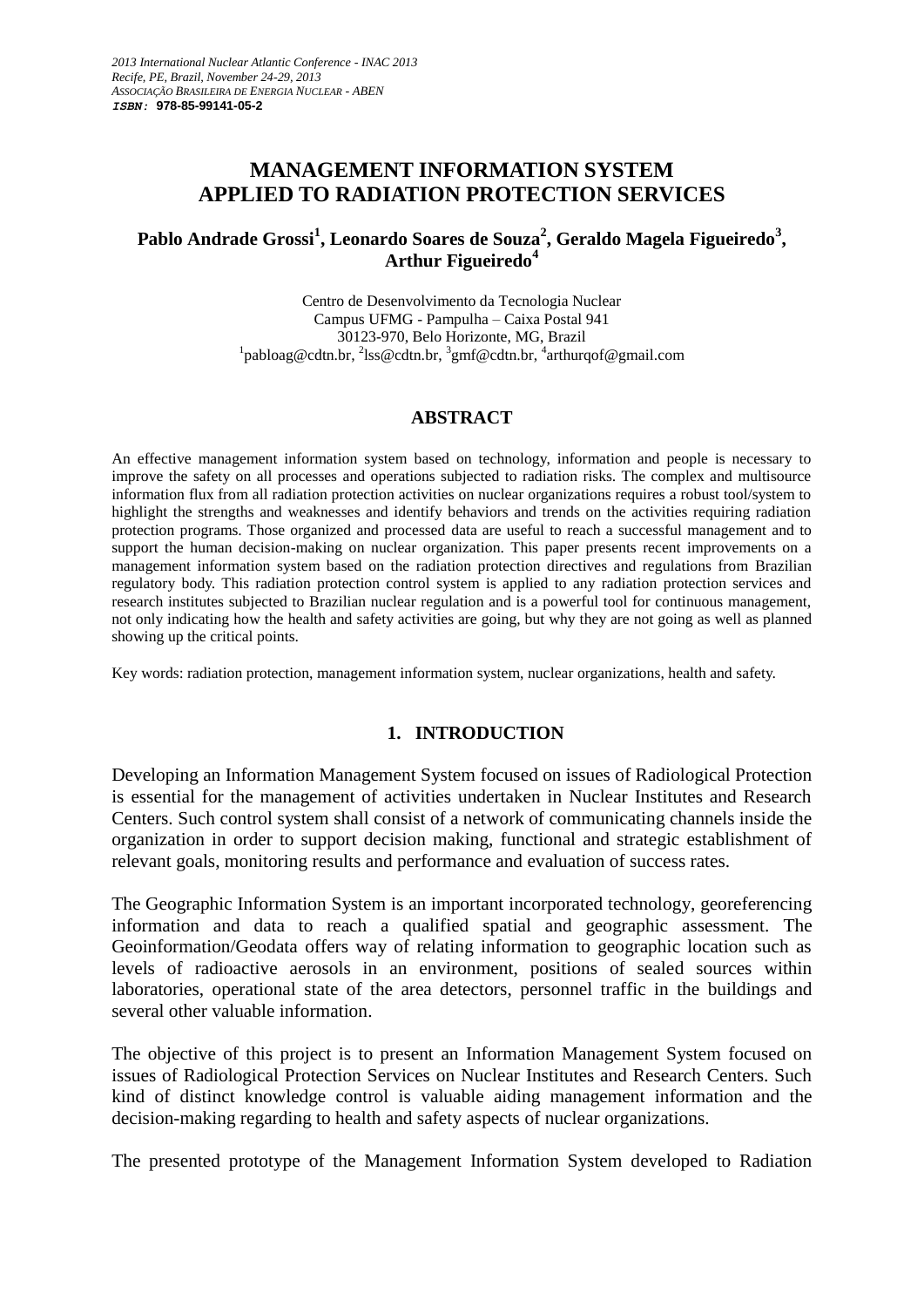# **MANAGEMENT INFORMATION SYSTEM APPLIED TO RADIATION PROTECTION SERVICES**

## **Pablo Andrade Grossi<sup>1</sup> , Leonardo Soares de Souza<sup>2</sup> , Geraldo Magela Figueiredo<sup>3</sup> , Arthur Figueiredo<sup>4</sup>**

Centro de Desenvolvimento da Tecnologia Nuclear Campus UFMG - Pampulha – Caixa Postal 941 30123-970, Belo Horizonte, MG, Brazil <sup>1</sup>[pabloag@cdtn.br,](mailto:pabloag@cdtn.br) <sup>2</sup>[lss@cdtn.br,](mailto:lss@cdtn.br) <sup>3</sup>[gmf@cdtn.br,](mailto:gmf@cdtn.br) <sup>4</sup>[arthurqof@gmail.com](mailto:4arthurqof@gmail.com)

# **ABSTRACT**

An effective management information system based on technology, information and people is necessary to improve the safety on all processes and operations subjected to radiation risks. The complex and multisource information flux from all radiation protection activities on nuclear organizations requires a robust tool/system to highlight the strengths and weaknesses and identify behaviors and trends on the activities requiring radiation protection programs. Those organized and processed data are useful to reach a successful management and to support the human decision-making on nuclear organization. This paper presents recent improvements on a management information system based on the radiation protection directives and regulations from Brazilian regulatory body. This radiation protection control system is applied to any radiation protection services and research institutes subjected to Brazilian nuclear regulation and is a powerful tool for continuous management, not only indicating how the health and safety activities are going, but why they are not going as well as planned showing up the critical points.

Key words: radiation protection, management information system, nuclear organizations, health and safety.

#### **1. INTRODUCTION**

Developing an Information Management System focused on issues of Radiological Protection is essential for the management of activities undertaken in Nuclear Institutes and Research Centers. Such control system shall consist of a network of communicating channels inside the organization in order to support decision making, functional and strategic establishment of relevant goals, monitoring results and performance and evaluation of success rates.

The Geographic Information System is an important incorporated technology, georeferencing information and data to reach a qualified spatial and geographic assessment. The Geoinformation/Geodata offers way of relating information to geographic location such as levels of radioactive aerosols in an environment, positions of sealed sources within laboratories, operational state of the area detectors, personnel traffic in the buildings and several other valuable information.

The objective of this project is to present an Information Management System focused on issues of Radiological Protection Services on Nuclear Institutes and Research Centers. Such kind of distinct knowledge control is valuable aiding management information and the decision-making regarding to health and safety aspects of nuclear organizations.

The presented prototype of the Management Information System developed to Radiation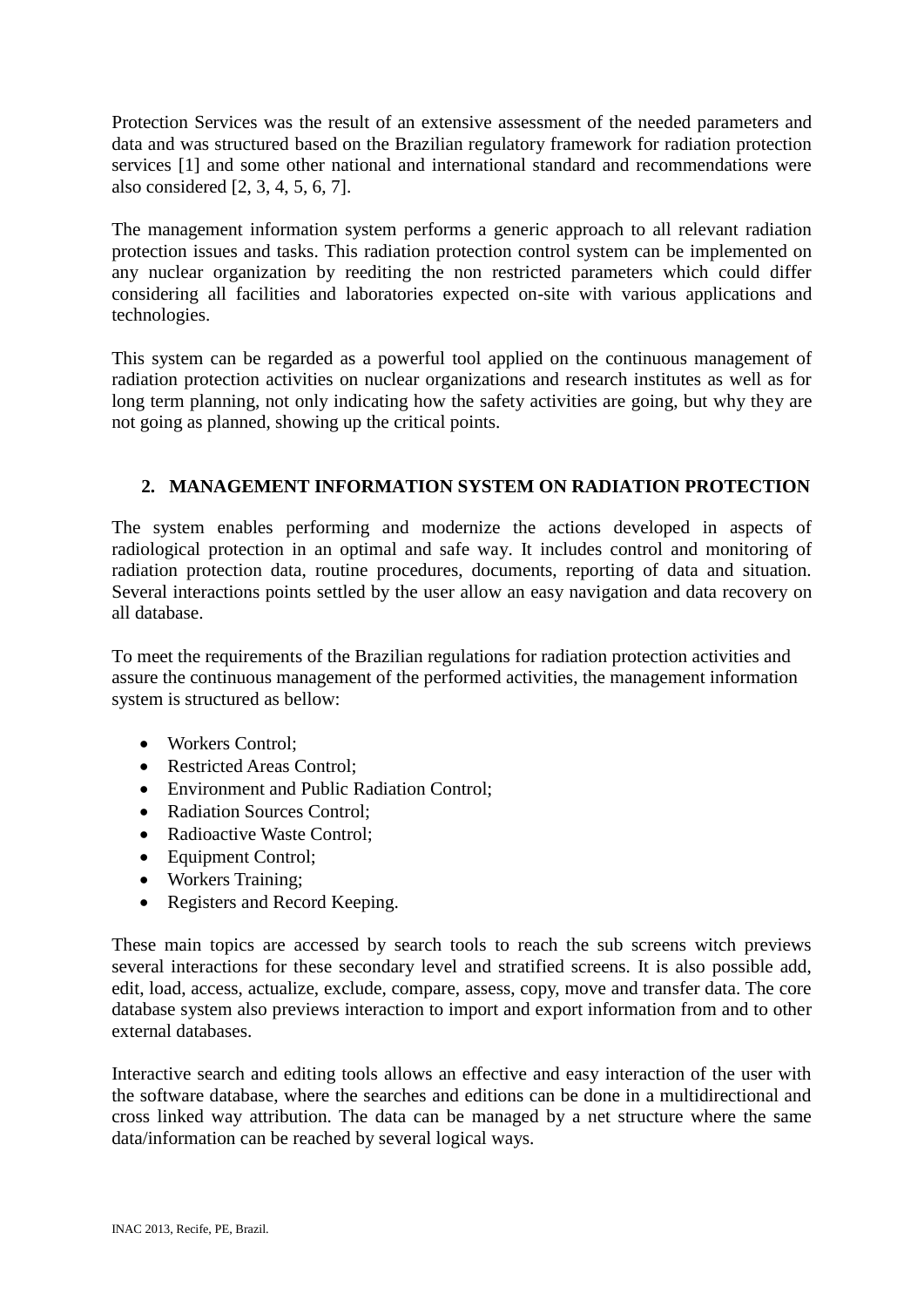Protection Services was the result of an extensive assessment of the needed parameters and data and was structured based on the Brazilian regulatory framework for radiation protection services [1] and some other national and international standard and recommendations were also considered [2, 3, 4, 5, 6, 7].

The management information system performs a generic approach to all relevant radiation protection issues and tasks. This radiation protection control system can be implemented on any nuclear organization by reediting the non restricted parameters which could differ considering all facilities and laboratories expected on-site with various applications and technologies.

This system can be regarded as a powerful tool applied on the continuous management of radiation protection activities on nuclear organizations and research institutes as well as for long term planning, not only indicating how the safety activities are going, but why they are not going as planned, showing up the critical points.

# **2. MANAGEMENT INFORMATION SYSTEM ON RADIATION PROTECTION**

The system enables performing and modernize the actions developed in aspects of radiological protection in an optimal and safe way. It includes control and monitoring of radiation protection data, routine procedures, documents, reporting of data and situation. Several interactions points settled by the user allow an easy navigation and data recovery on all database.

To meet the requirements of the Brazilian regulations for radiation protection activities and assure the continuous management of the performed activities, the management information system is structured as bellow:

- Workers Control:
- Restricted Areas Control;
- Environment and Public Radiation Control;
- Radiation Sources Control;
- Radioactive Waste Control;
- Equipment Control;
- Workers Training;
- Registers and Record Keeping.

These main topics are accessed by search tools to reach the sub screens witch previews several interactions for these secondary level and stratified screens. It is also possible add, edit, load, access, actualize, exclude, compare, assess, copy, move and transfer data. The core database system also previews interaction to import and export information from and to other external databases.

Interactive search and editing tools allows an effective and easy interaction of the user with the software database, where the searches and editions can be done in a multidirectional and cross linked way attribution. The data can be managed by a net structure where the same data/information can be reached by several logical ways.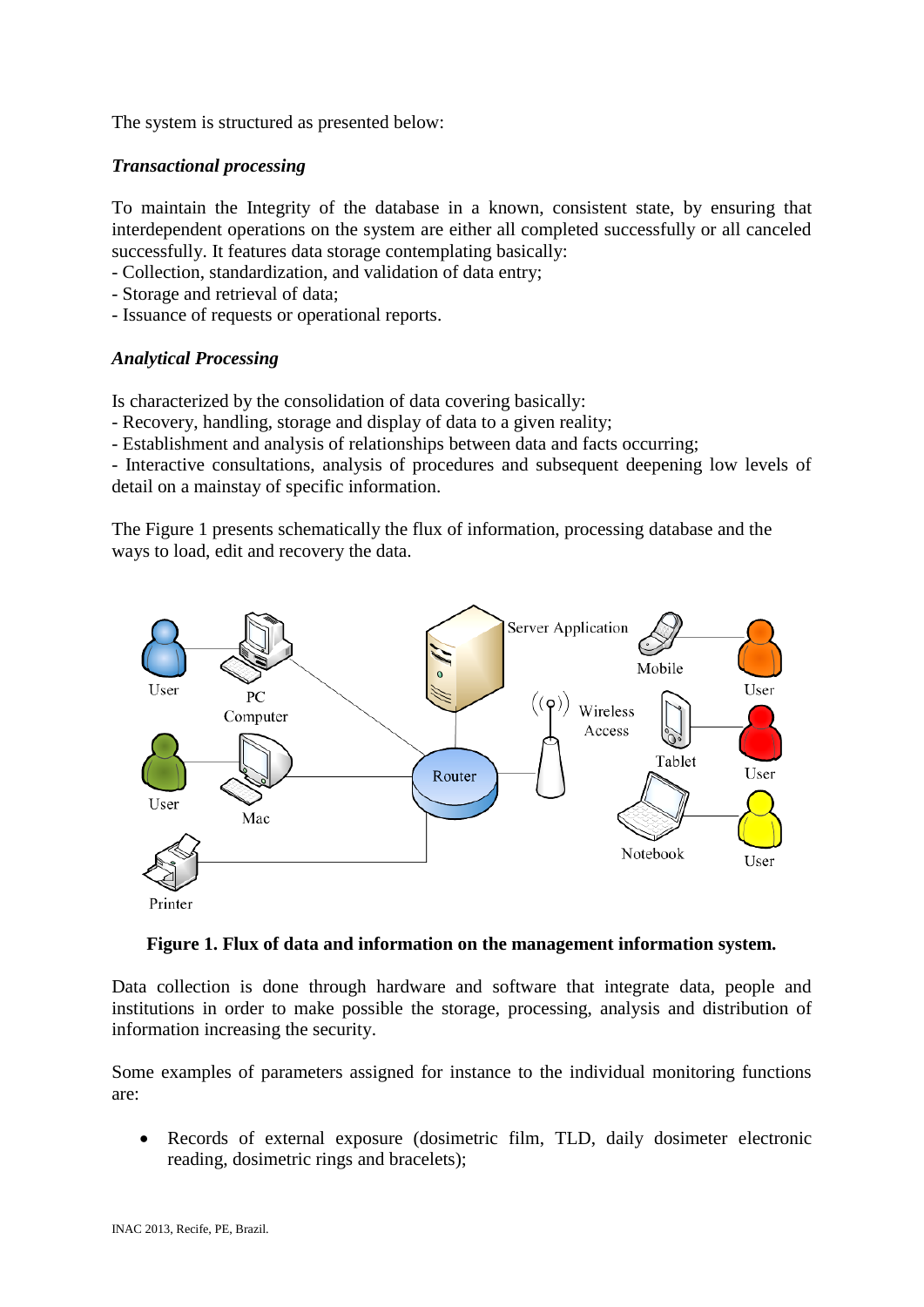The system is structured as presented below:

#### *Transactional processing*

To maintain the Integrity of the database in a known, consistent state, by ensuring that interdependent operations on the system are either all completed successfully or all canceled successfully. It features data storage contemplating basically:

- Collection, standardization, and validation of data entry;
- Storage and retrieval of data;
- Issuance of requests or operational reports.

### *Analytical Processing*

Is characterized by the consolidation of data covering basically:

- Recovery, handling, storage and display of data to a given reality;

- Establishment and analysis of relationships between data and facts occurring;

- Interactive consultations, analysis of procedures and subsequent deepening low levels of detail on a mainstay of specific information.

The Figure 1 presents schematically the flux of information, processing database and the ways to load, edit and recovery the data.



#### **Figure 1. Flux of data and information on the management information system.**

Data collection is done through hardware and software that integrate data, people and institutions in order to make possible the storage, processing, analysis and distribution of information increasing the security.

Some examples of parameters assigned for instance to the individual monitoring functions are:

 Records of external exposure (dosimetric film, TLD, daily dosimeter electronic reading, dosimetric rings and bracelets);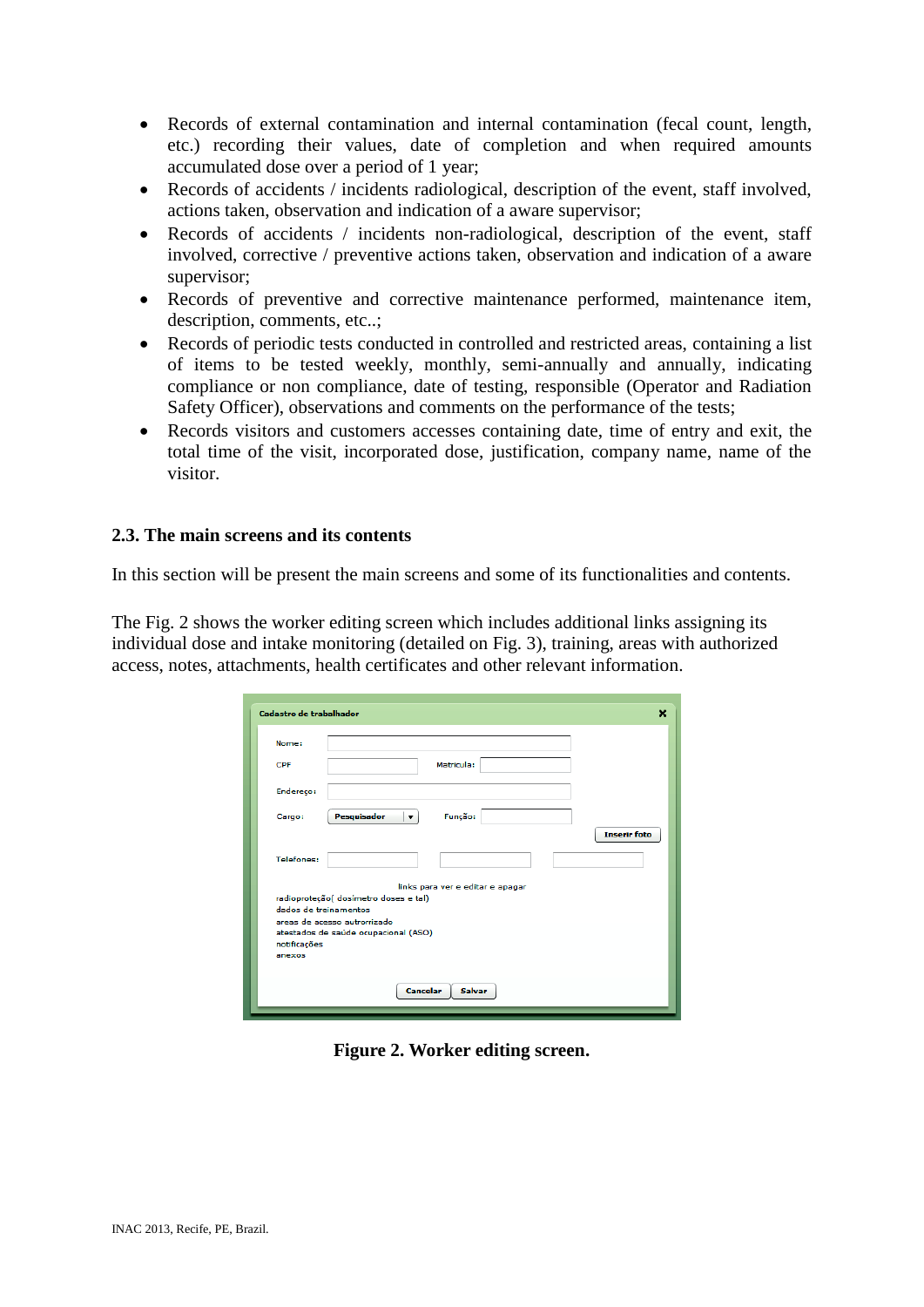- Records of external contamination and internal contamination (fecal count, length, etc.) recording their values, date of completion and when required amounts accumulated dose over a period of 1 year;
- Records of accidents / incidents radiological, description of the event, staff involved, actions taken, observation and indication of a aware supervisor;
- Records of accidents / incidents non-radiological, description of the event, staff involved, corrective / preventive actions taken, observation and indication of a aware supervisor;
- Records of preventive and corrective maintenance performed, maintenance item, description, comments, etc..;
- Records of periodic tests conducted in controlled and restricted areas, containing a list of items to be tested weekly, monthly, semi-annually and annually, indicating compliance or non compliance, date of testing, responsible (Operator and Radiation Safety Officer), observations and comments on the performance of the tests;
- Records visitors and customers accesses containing date, time of entry and exit, the total time of the visit, incorporated dose, justification, company name, name of the visitor.

#### **2.3. The main screens and its contents**

In this section will be present the main screens and some of its functionalities and contents.

The Fig. 2 shows the worker editing screen which includes additional links assigning its individual dose and intake monitoring (detailed on Fig. 3), training, areas with authorized access, notes, attachments, health certificates and other relevant information.

| Cadastro de trabalhador | ×                                      |
|-------------------------|----------------------------------------|
| Nome:                   |                                        |
| <b>CPF</b>              | Matricula:                             |
| Endereço:               |                                        |
| Cargo:                  | Pesquisador<br>Função:<br>$\mathbf{v}$ |
| Telefones:              | <b>Inserir</b> foto                    |
|                         | links para ver e editar e apagar       |
|                         | radioproteção( dosímetro doses e tal)  |
| dados de treinamentos   | areas de acesso autrorrizado           |
|                         | atestados de saúde ocupacional (ASO)   |
| notificações            |                                        |
| anexos                  |                                        |
|                         |                                        |
|                         | <b>Cancelar</b><br>Salvar              |

**Figure 2. Worker editing screen.**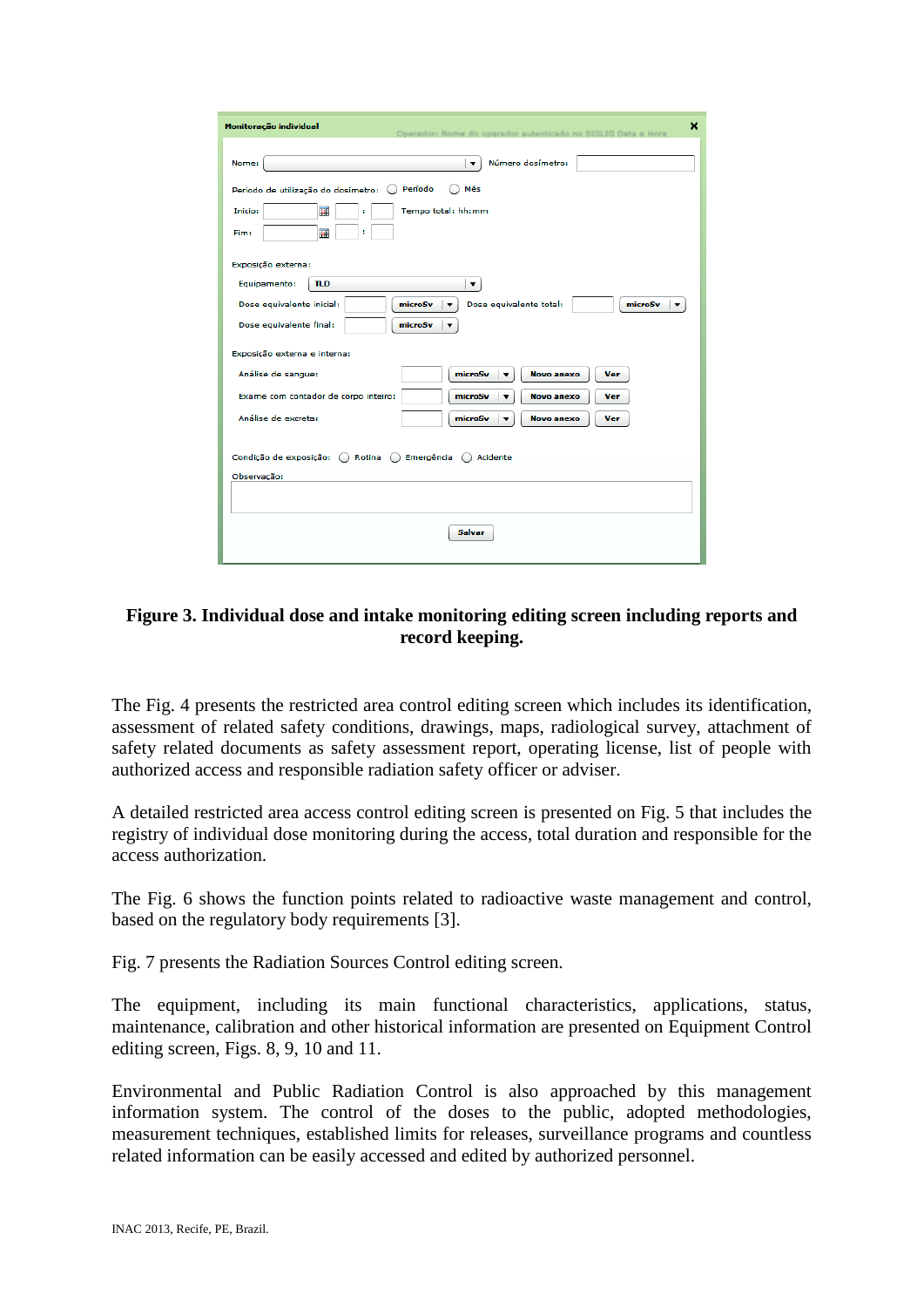| Monitoração individual<br>×<br>Operador: Nome do operador autenticado no SIGLIG Data e Hora  |
|----------------------------------------------------------------------------------------------|
| Número dosímetro:<br>Nome:<br>▼                                                              |
| Período<br>Mês<br>Período de utilização do dosímetro:                                        |
| 圛<br>Inicio:<br>Tempo total: hh:mm<br>÷<br>畐<br>Fim:<br>÷                                    |
| Exposição externa:                                                                           |
| TLD<br>Equipamento:<br>▼                                                                     |
| Dose equivalente inicial:<br>Dose equivalente total:<br>microSv<br>microSv<br>$\blacksquare$ |
| Dose equivalente final:<br>microSv                                                           |
| Exposição externa e interna:                                                                 |
| Análise de sangue:<br>microSv<br><b>Novo anexo</b><br><b>Ver</b><br>▼                        |
| Exame com contador de corpo inteiro:<br>microSv<br><b>Novo anexo</b><br>Ver<br>۰.            |
| Análise de excreta:<br>microSv<br><b>Novo anexo</b><br>Ver                                   |
| Condição de exposição: ( Rotina ( ) Emergência ( ) Acidente                                  |
| Observação:                                                                                  |
| Salvar                                                                                       |

# **Figure 3. Individual dose and intake monitoring editing screen including reports and record keeping.**

The Fig. 4 presents the restricted area control editing screen which includes its identification, assessment of related safety conditions, drawings, maps, radiological survey, attachment of safety related documents as safety assessment report, operating license, list of people with authorized access and responsible radiation safety officer or adviser.

A detailed restricted area access control editing screen is presented on Fig. 5 that includes the registry of individual dose monitoring during the access, total duration and responsible for the access authorization.

The Fig. 6 shows the function points related to radioactive waste management and control, based on the regulatory body requirements [3].

Fig. 7 presents the Radiation Sources Control editing screen.

The equipment, including its main functional characteristics, applications, status, maintenance, calibration and other historical information are presented on Equipment Control editing screen, Figs. 8, 9, 10 and 11.

Environmental and Public Radiation Control is also approached by this management information system. The control of the doses to the public, adopted methodologies, measurement techniques, established limits for releases, surveillance programs and countless related information can be easily accessed and edited by authorized personnel.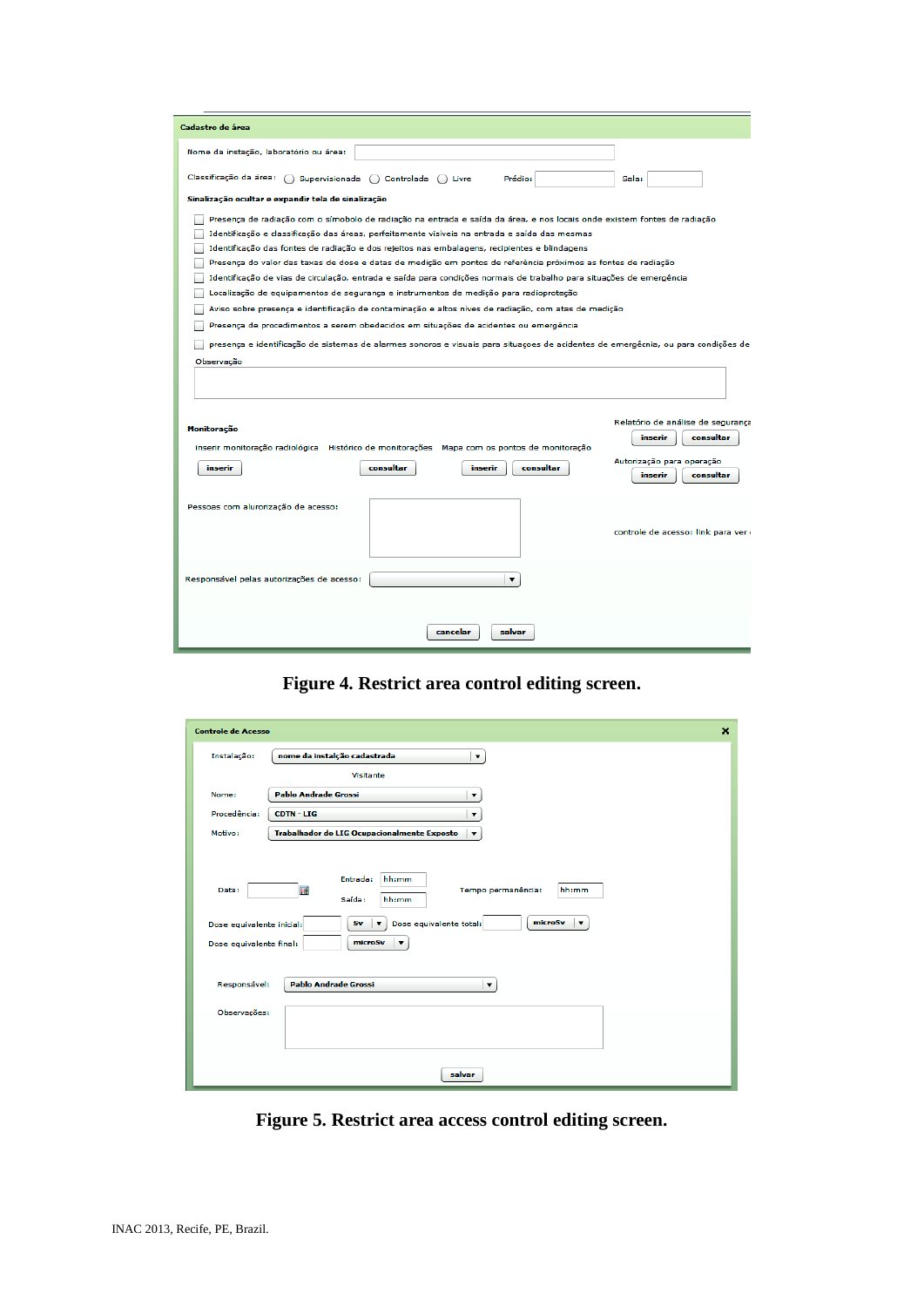| Cadastro de área                                                                                                                                                                                              |                                   |
|---------------------------------------------------------------------------------------------------------------------------------------------------------------------------------------------------------------|-----------------------------------|
| Nome da instação, laboratório ou área:                                                                                                                                                                        |                                   |
| Classificação da área:<br>Supervisionada ( ) Controlada ( ) Livre<br>Prédio:                                                                                                                                  | Sala:                             |
| Sinalização ocultar e expandir tela de sinalização                                                                                                                                                            |                                   |
| Presença de radiação com o símobolo de radiação na entrada e saída da área, e nos locais onde existem fontes de radiação                                                                                      |                                   |
| Identificação e classificação das áreas, perfeitamente visíveis na entrada e saída das mesmas                                                                                                                 |                                   |
| Identificação das fontes de radiação e dos rejeitos nas embalagens, recipientes e blindagens                                                                                                                  |                                   |
| Presença do valor das taxas de dose e datas de medição em pontos de referência próximos as fontes de radiação                                                                                                 |                                   |
| Identificação de vias de circulação, entrada e saída para condições normais de trabalho para situações de emergência<br>Localização de equipamentos de segurança e instrumentos de medição para radioproteção |                                   |
| Aviso sobre presença e identificação de contaminação e altos níves de radiação, com atas de medição                                                                                                           |                                   |
| Presença de procedimentos a serem obedecidos em situações de acidentes ou emergência                                                                                                                          |                                   |
|                                                                                                                                                                                                               |                                   |
| presença e identificação de sistemas de alarmes sonoros e visuais para situaçoes de acidentes de emergêcnia, ou para condições de                                                                             |                                   |
| Observação                                                                                                                                                                                                    |                                   |
|                                                                                                                                                                                                               |                                   |
|                                                                                                                                                                                                               |                                   |
|                                                                                                                                                                                                               | Relatório de análise de segurança |
| Monitoração                                                                                                                                                                                                   | inserir<br>consultar              |
| inserir monitoração radiológica Histórico de monitorações Mapa com os pontos de monitoração                                                                                                                   |                                   |
| consultar<br>consultar<br>inserir<br>inserir                                                                                                                                                                  | Autorização para operação         |
|                                                                                                                                                                                                               | consultar<br>inserir              |
| Pessoas com alurorização de acesso:                                                                                                                                                                           |                                   |
|                                                                                                                                                                                                               | controle de acesso: link para ver |
| Responsável pelas autorizações de acesso:<br>▼                                                                                                                                                                |                                   |
| cancelar<br>salvar                                                                                                                                                                                            |                                   |

**Figure 4. Restrict area control editing screen.**

| <b>Controle de Acesso</b>                                                                     |                                                                                                                                                                                                                             | $\mathbf x$ |  |
|-----------------------------------------------------------------------------------------------|-----------------------------------------------------------------------------------------------------------------------------------------------------------------------------------------------------------------------------|-------------|--|
| Instalação:                                                                                   | nome da instalção cadastrada<br>$\blacktriangledown$                                                                                                                                                                        |             |  |
|                                                                                               | Visitante                                                                                                                                                                                                                   |             |  |
| Nome:                                                                                         | <b>Pablo Andrade Grossi</b><br>▼                                                                                                                                                                                            |             |  |
| Procedência:                                                                                  | <b>CDTN-LIG</b>                                                                                                                                                                                                             |             |  |
| Motivo:                                                                                       | Trabalhador do LIG Ocupacionalmente Exposto<br>▼                                                                                                                                                                            |             |  |
| Data:<br>Dose equivalente inicial:<br>Dose equivalente final:<br>Responsável:<br>Observações: | Entrada:<br>hh:mm<br>圛<br>hh:mm<br>Tempo permanência:<br>Saída:<br>hh:mm<br>microSv<br>Sv<br>Dose equivalente total:<br>$\overline{\mathbf{v}}$<br>▼<br>microSv<br>▼<br><b>Pablo Andrade Grossi</b><br>$\blacktriangledown$ |             |  |
|                                                                                               |                                                                                                                                                                                                                             |             |  |
|                                                                                               | salvar                                                                                                                                                                                                                      |             |  |

**Figure 5. Restrict area access control editing screen.**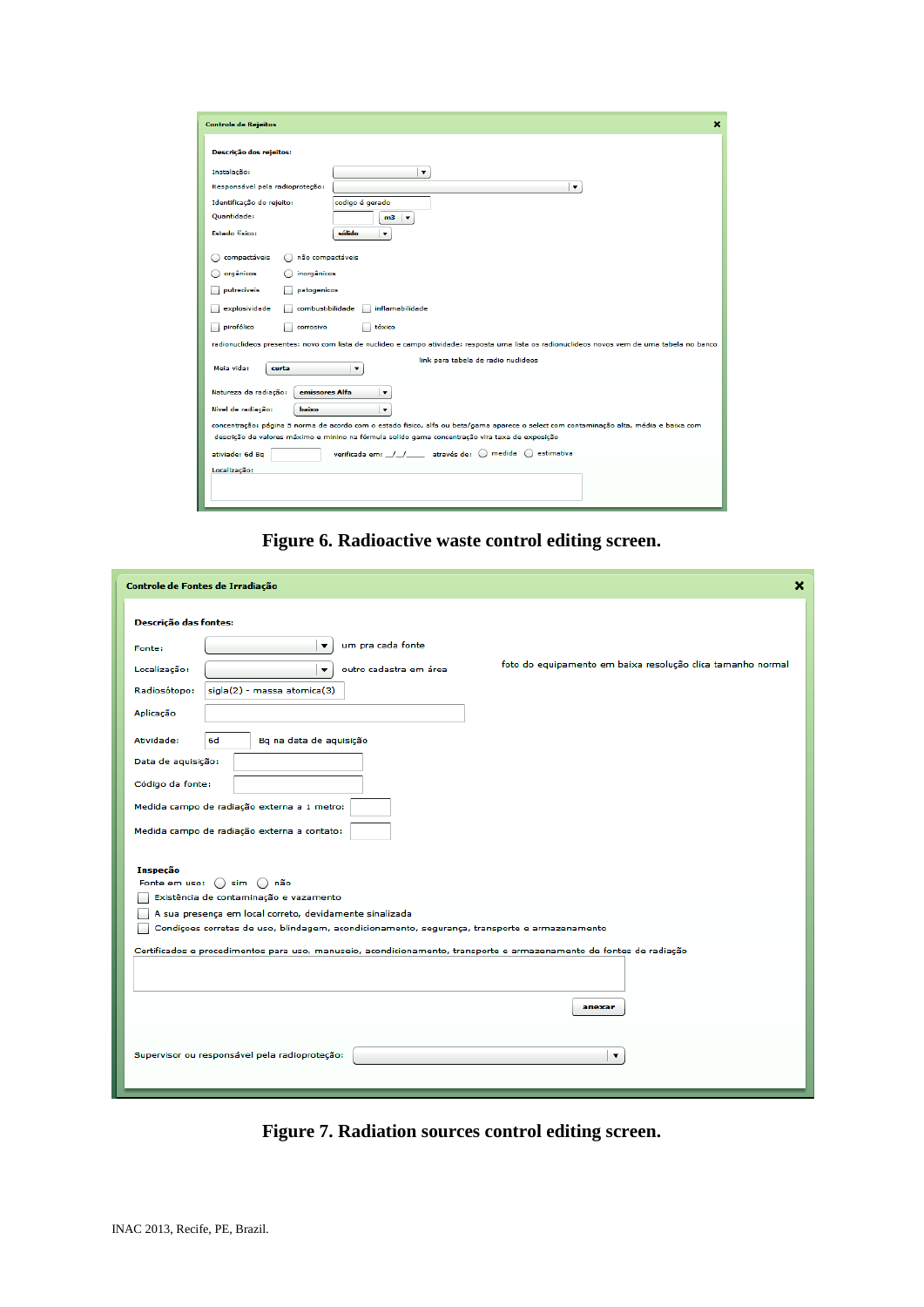| $\boldsymbol{\mathsf{x}}$<br><b>Controle de Rejeitos</b>                                                                                |                                                                                                                                               |  |  |
|-----------------------------------------------------------------------------------------------------------------------------------------|-----------------------------------------------------------------------------------------------------------------------------------------------|--|--|
| Descrição dos rejeitos:                                                                                                                 |                                                                                                                                               |  |  |
| Instalação:                                                                                                                             |                                                                                                                                               |  |  |
| Responsável pela radioprotecão:                                                                                                         | $\blacktriangledown$                                                                                                                          |  |  |
| Identificação do rejeito:                                                                                                               | codigo é gerado                                                                                                                               |  |  |
| <b>Ouantidade:</b>                                                                                                                      | m3<br>$\blacktriangledown$                                                                                                                    |  |  |
| <b>Estado físico:</b>                                                                                                                   | sólido<br>$\blacktriangledown$                                                                                                                |  |  |
| compactáveis<br>não compactáveis                                                                                                        |                                                                                                                                               |  |  |
| orgânicos<br>inorgânicos                                                                                                                |                                                                                                                                               |  |  |
| putreciveis<br>patogenicos                                                                                                              |                                                                                                                                               |  |  |
| explosividade<br>combustibilidade                                                                                                       | inflamabilidade                                                                                                                               |  |  |
| pirofólico<br>corrosivo                                                                                                                 | tóxico                                                                                                                                        |  |  |
|                                                                                                                                         | radionuclideos presentes: novo com lista de nuclideo e campo atividade: resposta uma lista os radionuclideos novos vem de uma tabela no banco |  |  |
| Meia vida:<br>curta                                                                                                                     | link para tabela de radio nuclideos<br>$\overline{\mathbf{v}}$                                                                                |  |  |
| Natureza da radiação:<br>emissores Alfa<br>▼                                                                                            |                                                                                                                                               |  |  |
| Nível de radiação:<br>baixo<br>$\blacktriangledown$                                                                                     |                                                                                                                                               |  |  |
| concentração: página 5 norma de acordo com o estado físico, alfa ou beta/gama aparece o select com contaminação alta, média e baixa com |                                                                                                                                               |  |  |
|                                                                                                                                         | descrição de valores máximo e minino na fórmula solido gama concentração vira taxa de exposição                                               |  |  |
| ativiade: 6d Ba                                                                                                                         | verificada em: / / através de: () medida () estimativa                                                                                        |  |  |
| Localização:                                                                                                                            |                                                                                                                                               |  |  |
|                                                                                                                                         |                                                                                                                                               |  |  |
|                                                                                                                                         |                                                                                                                                               |  |  |

**Figure 6. Radioactive waste control editing screen.**

| Controle de Fontes de Irradiação                                                                                    | × |
|---------------------------------------------------------------------------------------------------------------------|---|
| Descrição das fontes:                                                                                               |   |
| um pra cada fonte<br>▼<br>Fonte:                                                                                    |   |
| foto do equipamento em baixa resolução clica tamanho normal<br>Localização:<br>outro cadastra em área<br>▼          |   |
| sigla(2) - massa atomica(3)<br>Radiosótopo:                                                                         |   |
| Aplicação                                                                                                           |   |
| Atividade:<br>6d<br>Bq na data de aquisição                                                                         |   |
| Data de aquisição:                                                                                                  |   |
| Código da fonte:                                                                                                    |   |
| Medida campo de radiação externa a 1 metro:                                                                         |   |
| Medida campo de radiação externa a contato:                                                                         |   |
| Inspeção                                                                                                            |   |
| Fonte em uso: () sim () não<br>Existência de contaminação e vazamento                                               |   |
| A sua presença em local correto, devidamente sinalizada                                                             |   |
| Condiçoes corretas de uso, blindagem, acondicionamento, segurança, transporte e armazenamento                       |   |
| Certificados e procedimentos para uso, manuseio, acondicionamento, transporte e armazenamento de fontes de radiação |   |
|                                                                                                                     |   |
| anexar                                                                                                              |   |
|                                                                                                                     |   |
| Supervisor ou responsável pela radioproteção:<br>▼                                                                  |   |
|                                                                                                                     |   |

**Figure 7. Radiation sources control editing screen.**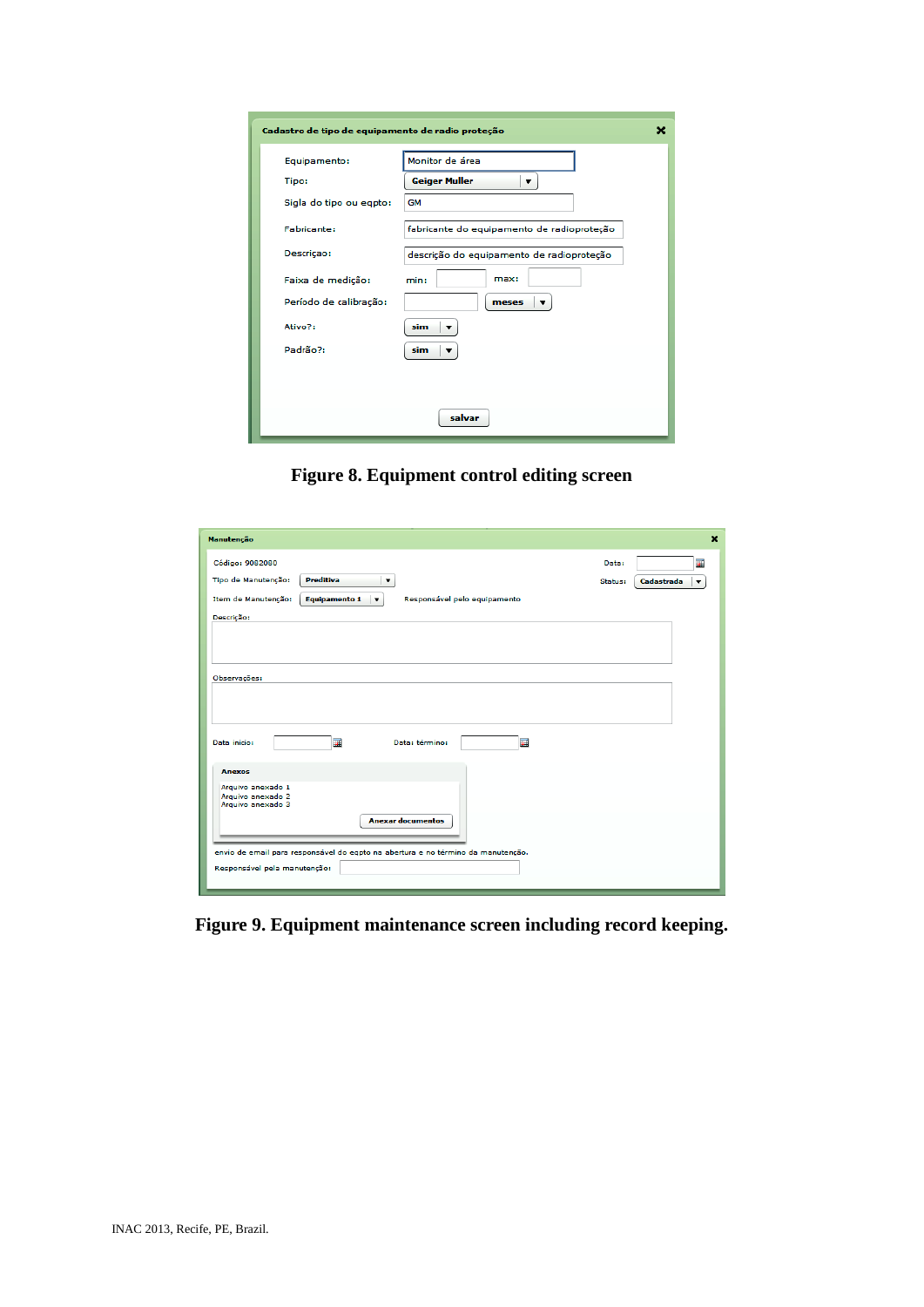| Cadastro de tipo de equipamento de radio proteção<br>× |                                            |  |  |
|--------------------------------------------------------|--------------------------------------------|--|--|
| Equipamento:                                           | Monitor de área                            |  |  |
| Tipo:                                                  | <b>Geiger Muller</b><br>▼                  |  |  |
| Sigla do tipo ou eqpto:                                | <b>GM</b>                                  |  |  |
| Fabricante:                                            | fabricante do equipamento de radioproteção |  |  |
| Descriçao:                                             | descrição do equipamento de radioproteção  |  |  |
| Faixa de medição:                                      | max:<br>min:                               |  |  |
| Período de calibração:                                 | meses<br>▼                                 |  |  |
| Ativo?:                                                | sim                                        |  |  |
| Padrão?:                                               | sim<br>▼                                   |  |  |
|                                                        |                                            |  |  |
|                                                        |                                            |  |  |
| salvar                                                 |                                            |  |  |

**Figure 8. Equipment control editing screen**

| Manutenção                                                                                              |         |                   | $\mathbf x$             |
|---------------------------------------------------------------------------------------------------------|---------|-------------------|-------------------------|
| Código: 9082080                                                                                         | Data:   |                   | 誧                       |
| <b>Preditiva</b><br>Tipo de Manutenção:<br>▼                                                            | Status: | <b>Cadastrada</b> | $\overline{\mathbf{v}}$ |
| Item de Manutenção:<br><b>Equipamento 1</b><br>Responsável pelo equipamento<br>$\overline{\phantom{a}}$ |         |                   |                         |
| Descrição:                                                                                              |         |                   |                         |
|                                                                                                         |         |                   |                         |
|                                                                                                         |         |                   |                         |
| Observações:                                                                                            |         |                   |                         |
|                                                                                                         |         |                   |                         |
|                                                                                                         |         |                   |                         |
| 圛<br>畐<br>Data: término:<br>Data inicio:                                                                |         |                   |                         |
|                                                                                                         |         |                   |                         |
| <b>Anexos</b>                                                                                           |         |                   |                         |
| Arquivo anexado 1<br>Arquivo anexado 2                                                                  |         |                   |                         |
| Arquivo anexado 3                                                                                       |         |                   |                         |
| <b>Anexar documentos</b>                                                                                |         |                   |                         |
| envio de email para responsável do eqpto na abertura e no término da manutenção.                        |         |                   |                         |
| Responsável pela manutenção:                                                                            |         |                   |                         |
|                                                                                                         |         |                   |                         |

**Figure 9. Equipment maintenance screen including record keeping.**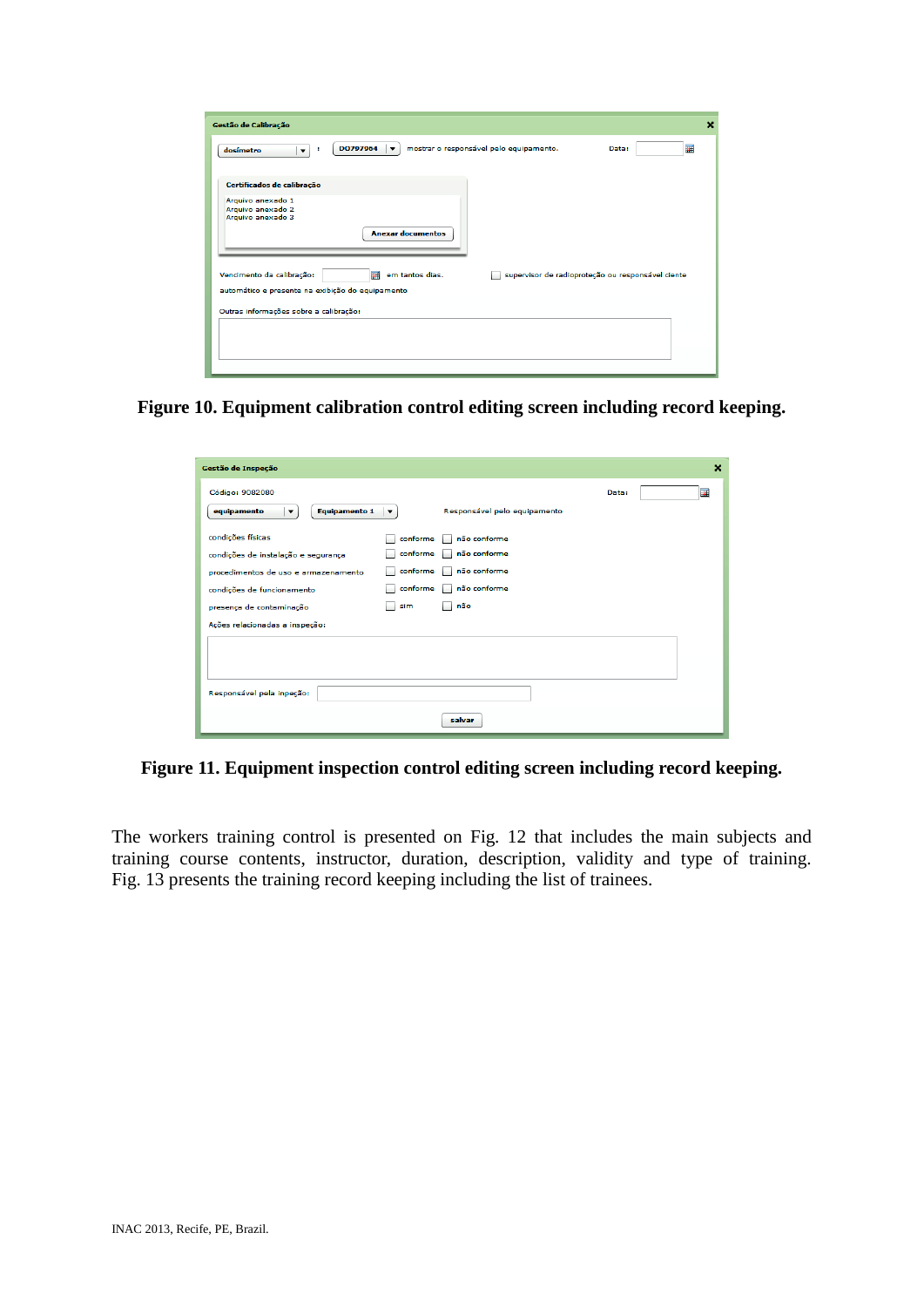**Figure 10. Equipment calibration control editing screen including record keeping.**

| Gestão de Inspeção                                                                                                                                                                           |                                                     |                                                                     |       | × |
|----------------------------------------------------------------------------------------------------------------------------------------------------------------------------------------------|-----------------------------------------------------|---------------------------------------------------------------------|-------|---|
| Código: 9082080<br><b>Equipamento 1</b><br>equipamento<br>$\blacktriangledown$                                                                                                               | $\blacktriangledown$                                | Responsável pelo equipamento                                        | Data: | 畐 |
| condições físicas<br>condições de instalação e segurança<br>procedimentos de uso e armazenamento<br>condições de funcionamento<br>presença de contaminação<br>Ações relacionadas a inspeção: | conforme<br>conforme<br>conforme<br>conforme<br>sim | não conforme<br>não conforme<br>não conforme<br>não conforme<br>não |       |   |
| Responsável pela inpeção:                                                                                                                                                                    |                                                     | salvar                                                              |       |   |

**Figure 11. Equipment inspection control editing screen including record keeping.**

The workers training control is presented on Fig. 12 that includes the main subjects and training course contents, instructor, duration, description, validity and type of training. Fig. 13 presents the training record keeping including the list of trainees.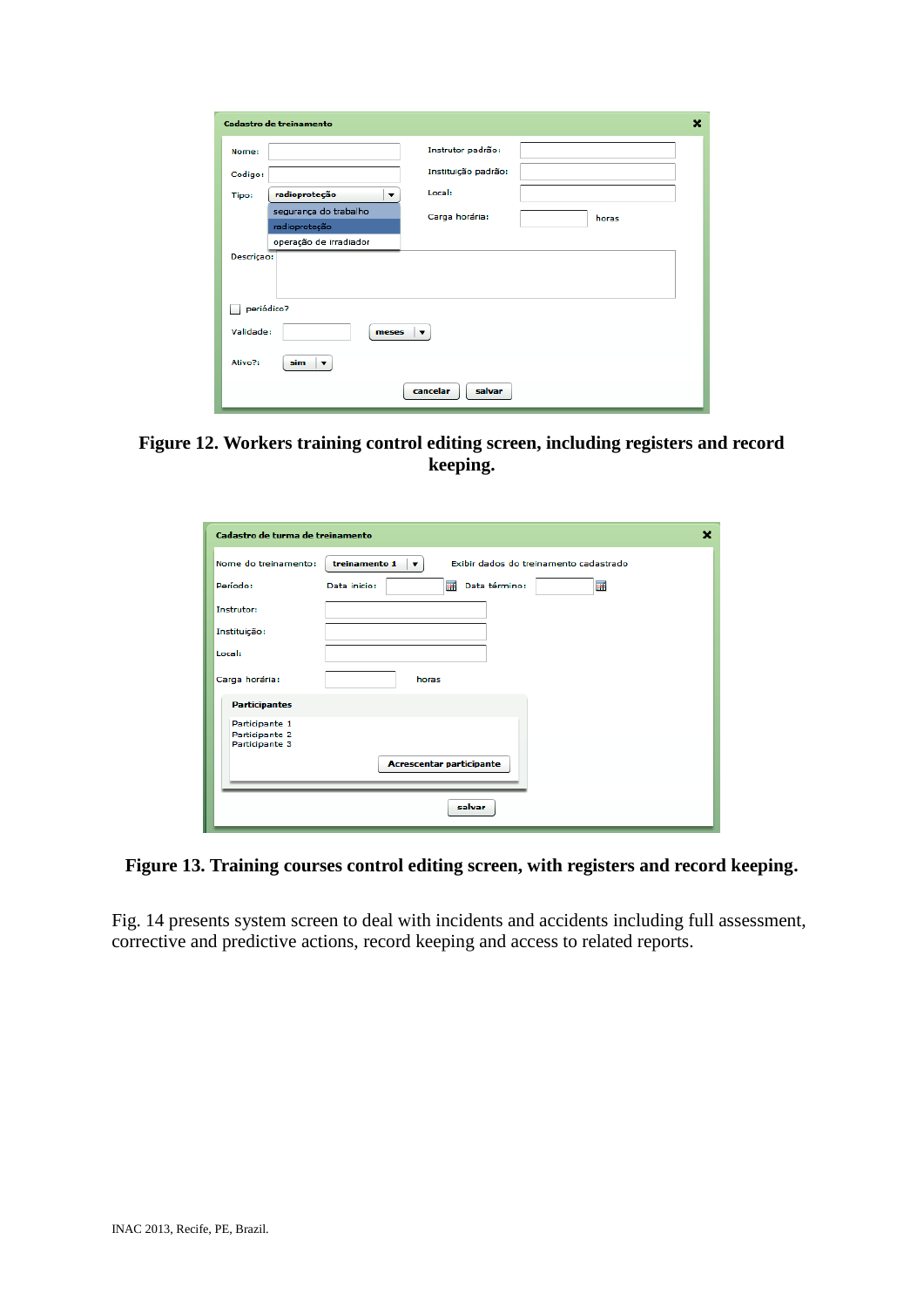| <b>Cadastro de treinamento</b>                 |                         | × |  |
|------------------------------------------------|-------------------------|---|--|
| Nome:                                          | Instrutor padrão:       |   |  |
| Codigo:                                        | Instituição padrão:     |   |  |
| radioproteção<br>Tipo:<br>▼                    | Local:                  |   |  |
| segurança do trabalho                          | Carga horária:<br>horas |   |  |
| radioproteção                                  |                         |   |  |
| operação de irradiador                         |                         |   |  |
| Descriçao:                                     |                         |   |  |
|                                                |                         |   |  |
|                                                |                         |   |  |
| periódico?                                     |                         |   |  |
|                                                |                         |   |  |
| Validade:<br>meses<br>$\overline{\phantom{a}}$ |                         |   |  |
| Ativo?:<br>sim<br>$\blacktriangledown$         |                         |   |  |
|                                                | cancelar<br>salvar      |   |  |

**Figure 12. Workers training control editing screen, including registers and record keeping.**

| Cadastro de turma de treinamento                   | ×                                                                       |
|----------------------------------------------------|-------------------------------------------------------------------------|
| Nome do treinamento:                               | Exibir dados do treinamento cadastrado<br>treinamento 1<br>$\mathbf{v}$ |
| Período:                                           | 圛<br>畐<br>Data término:<br>Data inicio:                                 |
| Instrutor:                                         |                                                                         |
| Instituição:                                       |                                                                         |
| Local:                                             |                                                                         |
| Carga horária:                                     | horas                                                                   |
| <b>Participantes</b>                               |                                                                         |
| Participante 1<br>Participante 2<br>Participante 3 | <b>Acrescentar participante</b>                                         |
|                                                    | salvar                                                                  |

# **Figure 13. Training courses control editing screen, with registers and record keeping.**

Fig. 14 presents system screen to deal with incidents and accidents including full assessment, corrective and predictive actions, record keeping and access to related reports.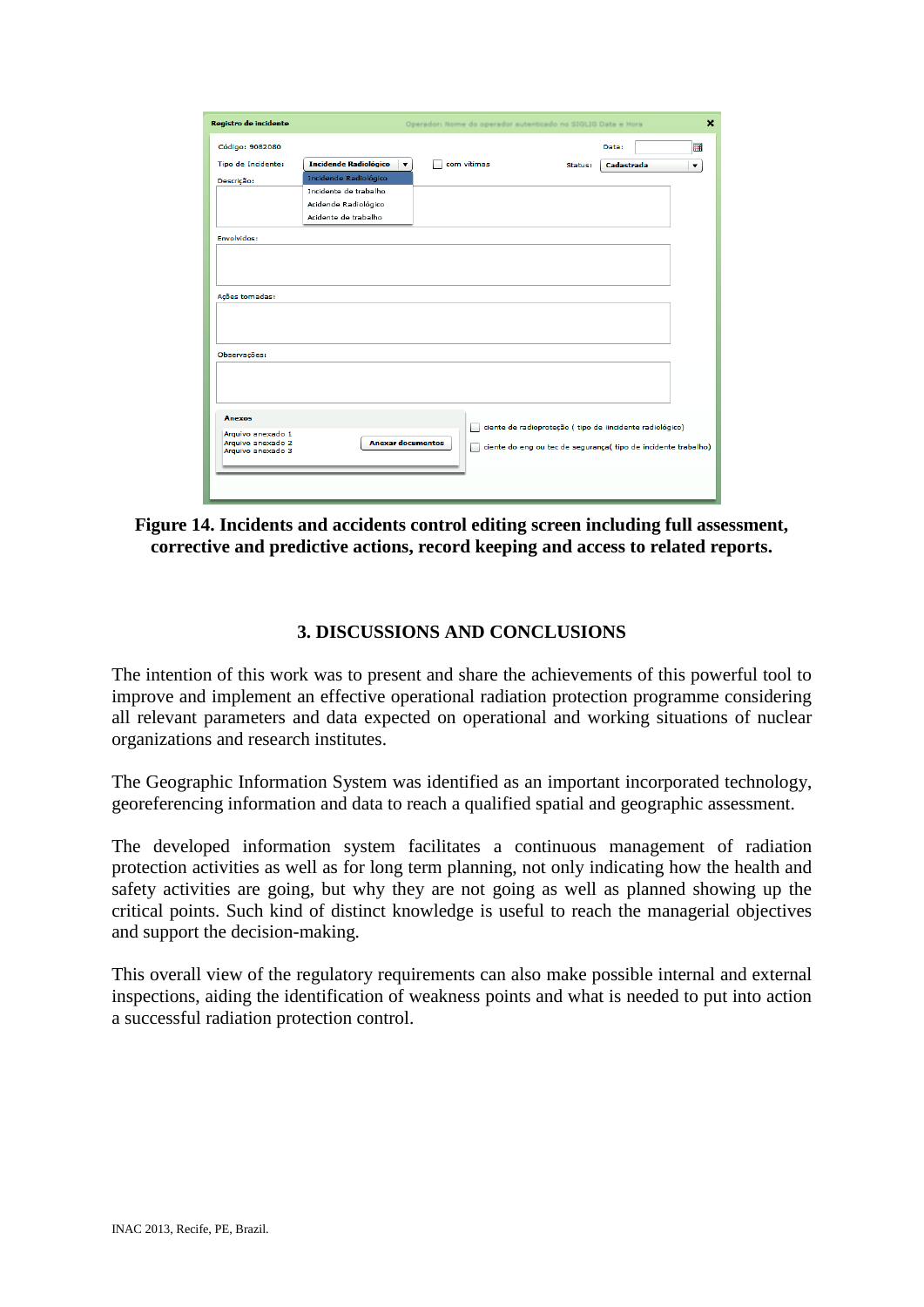| Registro de incidente                  |                                   |             | Operador: Nome do operador autenticado no SIGLIG Data e Hora   |            | $\mathbf x$ |
|----------------------------------------|-----------------------------------|-------------|----------------------------------------------------------------|------------|-------------|
| Código: 9082080                        |                                   |             |                                                                | Data:      | 圛           |
| Tipo de Incidente:                     | <b>Incidende Radiológico</b><br>▼ | com vítimas | Status:                                                        | Cadastrada | ▼           |
| Descrição:                             | Incidende Radiológico             |             |                                                                |            |             |
|                                        | Incidente de trabalho             |             |                                                                |            |             |
|                                        | Acidende Radiológico              |             |                                                                |            |             |
|                                        | Acidente de trabalho              |             |                                                                |            |             |
| Envolvidos:                            |                                   |             |                                                                |            |             |
|                                        |                                   |             |                                                                |            |             |
|                                        |                                   |             |                                                                |            |             |
|                                        |                                   |             |                                                                |            |             |
|                                        |                                   |             |                                                                |            |             |
| Ações tomadas:                         |                                   |             |                                                                |            |             |
|                                        |                                   |             |                                                                |            |             |
|                                        |                                   |             |                                                                |            |             |
|                                        |                                   |             |                                                                |            |             |
| Observações:                           |                                   |             |                                                                |            |             |
|                                        |                                   |             |                                                                |            |             |
|                                        |                                   |             |                                                                |            |             |
|                                        |                                   |             |                                                                |            |             |
|                                        |                                   |             |                                                                |            |             |
| <b>Anexos</b>                          |                                   | L           | ciente de radioproteção (tipo de iincidente radiológico)       |            |             |
| Arquivo anexado 1<br>Arquivo anexado 2 | <b>Anexar documentos</b>          |             |                                                                |            |             |
| Arquivo anexado 3                      |                                   | m.          | ciente do eng ou tec de segurança( tipo de incidente trabalho) |            |             |
|                                        |                                   |             |                                                                |            |             |
|                                        |                                   |             |                                                                |            |             |
|                                        |                                   |             |                                                                |            |             |

## **Figure 14. Incidents and accidents control editing screen including full assessment, corrective and predictive actions, record keeping and access to related reports.**

### **3. DISCUSSIONS AND CONCLUSIONS**

The intention of this work was to present and share the achievements of this powerful tool to improve and implement an effective operational radiation protection programme considering all relevant parameters and data expected on operational and working situations of nuclear organizations and research institutes.

The Geographic Information System was identified as an important incorporated technology, georeferencing information and data to reach a qualified spatial and geographic assessment.

The developed information system facilitates a continuous management of radiation protection activities as well as for long term planning, not only indicating how the health and safety activities are going, but why they are not going as well as planned showing up the critical points. Such kind of distinct knowledge is useful to reach the managerial objectives and support the decision-making.

This overall view of the regulatory requirements can also make possible internal and external inspections, aiding the identification of weakness points and what is needed to put into action a successful radiation protection control.